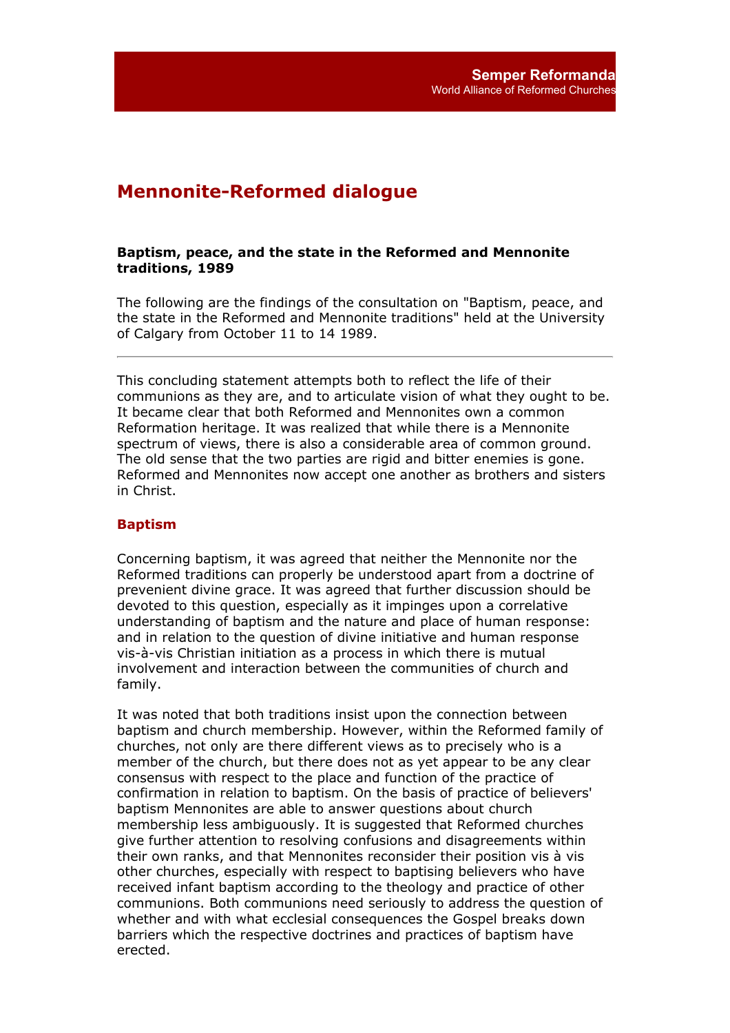# **Mennonite-Reformed dialogue**

#### **Baptism, peace, and the state in the Reformed and Mennonite traditions, 1989**

The following are the findings of the consultation on "Baptism, peace, and the state in the Reformed and Mennonite traditions" held at the University of Calgary from October 11 to 14 1989.

This concluding statement attempts both to reflect the life of their communions as they are, and to articulate vision of what they ought to be. It became clear that both Reformed and Mennonites own a common Reformation heritage. It was realized that while there is a Mennonite spectrum of views, there is also a considerable area of common ground. The old sense that the two parties are rigid and bitter enemies is gone. Reformed and Mennonites now accept one another as brothers and sisters in Christ.

## **Baptism**

Concerning baptism, it was agreed that neither the Mennonite nor the Reformed traditions can properly be understood apart from a doctrine of prevenient divine grace. It was agreed that further discussion should be devoted to this question, especially as it impinges upon a correlative understanding of baptism and the nature and place of human response: and in relation to the question of divine initiative and human response vis-à-vis Christian initiation as a process in which there is mutual involvement and interaction between the communities of church and family.

It was noted that both traditions insist upon the connection between baptism and church membership. However, within the Reformed family of churches, not only are there different views as to precisely who is a member of the church, but there does not as yet appear to be any clear consensus with respect to the place and function of the practice of confirmation in relation to baptism. On the basis of practice of believers' baptism Mennonites are able to answer questions about church membership less ambiguously. It is suggested that Reformed churches give further attention to resolving confusions and disagreements within their own ranks, and that Mennonites reconsider their position vis à vis other churches, especially with respect to baptising believers who have received infant baptism according to the theology and practice of other communions. Both communions need seriously to address the question of whether and with what ecclesial consequences the Gospel breaks down barriers which the respective doctrines and practices of baptism have erected.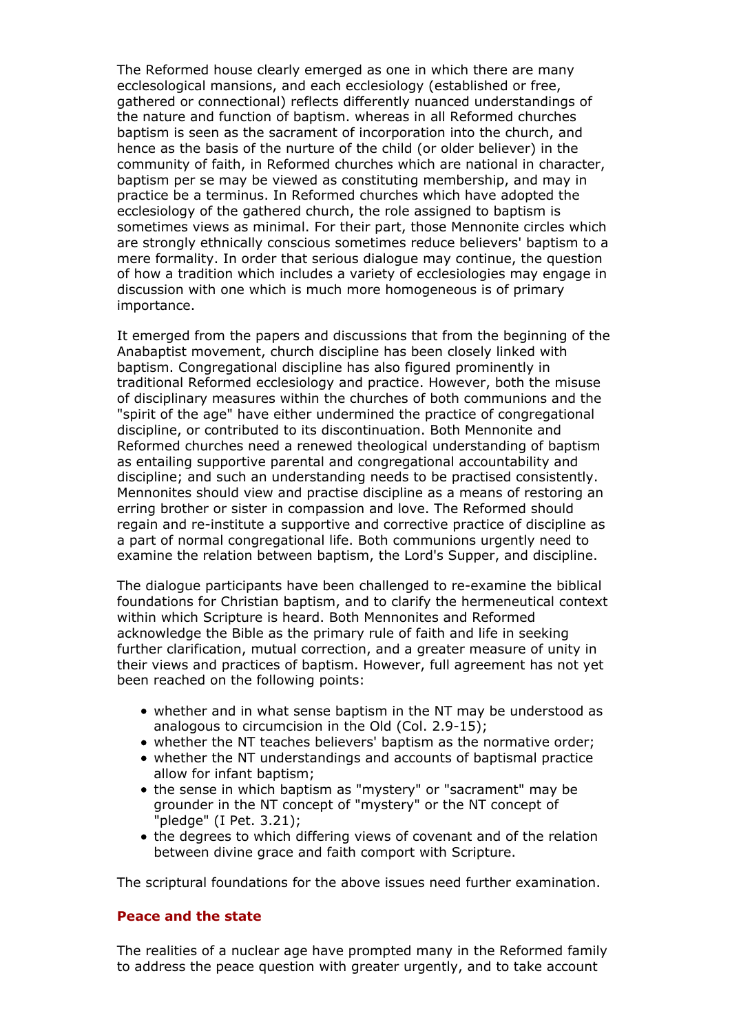The Reformed house clearly emerged as one in which there are many ecclesological mansions, and each ecclesiology (established or free, gathered or connectional) reflects differently nuanced understandings of the nature and function of baptism. whereas in all Reformed churches baptism is seen as the sacrament of incorporation into the church, and hence as the basis of the nurture of the child (or older believer) in the community of faith, in Reformed churches which are national in character, baptism per se may be viewed as constituting membership, and may in practice be a terminus. In Reformed churches which have adopted the ecclesiology of the gathered church, the role assigned to baptism is sometimes views as minimal. For their part, those Mennonite circles which are strongly ethnically conscious sometimes reduce believers' baptism to a mere formality. In order that serious dialogue may continue, the question of how a tradition which includes a variety of ecclesiologies may engage in discussion with one which is much more homogeneous is of primary importance.

It emerged from the papers and discussions that from the beginning of the Anabaptist movement, church discipline has been closely linked with baptism. Congregational discipline has also figured prominently in traditional Reformed ecclesiology and practice. However, both the misuse of disciplinary measures within the churches of both communions and the "spirit of the age" have either undermined the practice of congregational discipline, or contributed to its discontinuation. Both Mennonite and Reformed churches need a renewed theological understanding of baptism as entailing supportive parental and congregational accountability and discipline; and such an understanding needs to be practised consistently. Mennonites should view and practise discipline as a means of restoring an erring brother or sister in compassion and love. The Reformed should regain and re-institute a supportive and corrective practice of discipline as a part of normal congregational life. Both communions urgently need to examine the relation between baptism, the Lord's Supper, and discipline.

The dialogue participants have been challenged to re-examine the biblical foundations for Christian baptism, and to clarify the hermeneutical context within which Scripture is heard. Both Mennonites and Reformed acknowledge the Bible as the primary rule of faith and life in seeking further clarification, mutual correction, and a greater measure of unity in their views and practices of baptism. However, full agreement has not yet been reached on the following points:

- whether and in what sense baptism in the NT may be understood as analogous to circumcision in the Old (Col. 2.9-15);
- whether the NT teaches believers' baptism as the normative order;
- whether the NT understandings and accounts of baptismal practice allow for infant baptism;
- the sense in which baptism as "mystery" or "sacrament" may be grounder in the NT concept of "mystery" or the NT concept of "pledge" (I Pet. 3.21);
- the degrees to which differing views of covenant and of the relation between divine grace and faith comport with Scripture.

The scriptural foundations for the above issues need further examination.

#### **Peace and the state**

The realities of a nuclear age have prompted many in the Reformed family to address the peace question with greater urgently, and to take account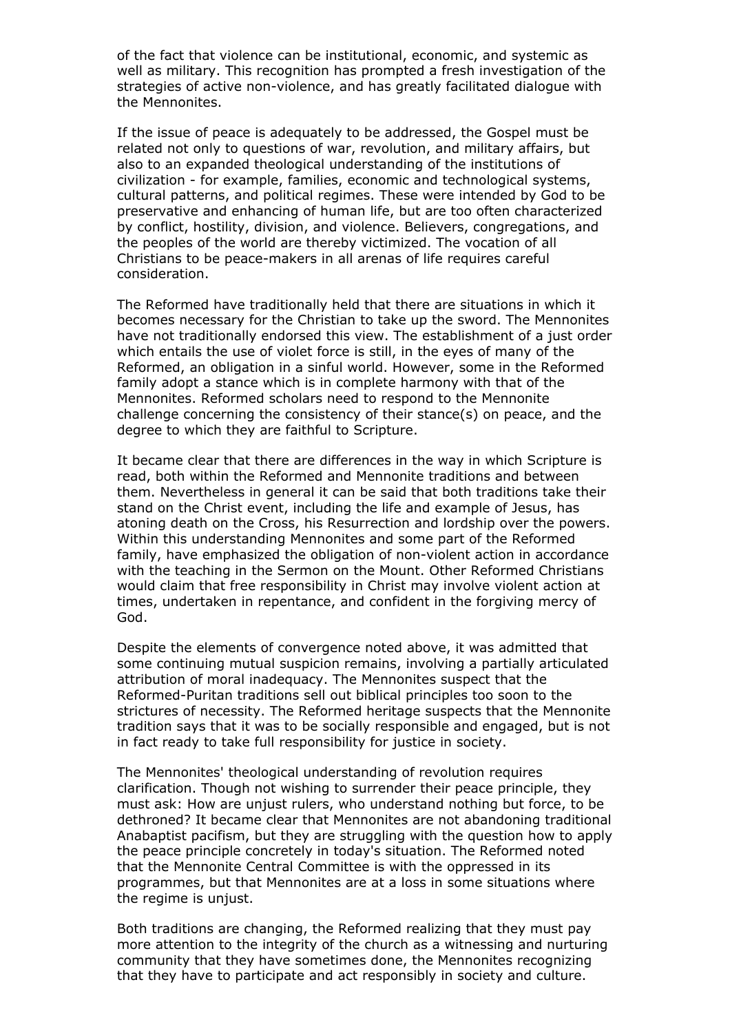of the fact that violence can be institutional, economic, and systemic as well as military. This recognition has prompted a fresh investigation of the strategies of active non-violence, and has greatly facilitated dialogue with the Mennonites.

If the issue of peace is adequately to be addressed, the Gospel must be related not only to questions of war, revolution, and military affairs, but also to an expanded theological understanding of the institutions of civilization - for example, families, economic and technological systems, cultural patterns, and political regimes. These were intended by God to be preservative and enhancing of human life, but are too often characterized by conflict, hostility, division, and violence. Believers, congregations, and the peoples of the world are thereby victimized. The vocation of all Christians to be peace-makers in all arenas of life requires careful consideration.

The Reformed have traditionally held that there are situations in which it becomes necessary for the Christian to take up the sword. The Mennonites have not traditionally endorsed this view. The establishment of a just order which entails the use of violet force is still, in the eyes of many of the Reformed, an obligation in a sinful world. However, some in the Reformed family adopt a stance which is in complete harmony with that of the Mennonites. Reformed scholars need to respond to the Mennonite challenge concerning the consistency of their stance(s) on peace, and the degree to which they are faithful to Scripture.

It became clear that there are differences in the way in which Scripture is read, both within the Reformed and Mennonite traditions and between them. Nevertheless in general it can be said that both traditions take their stand on the Christ event, including the life and example of Jesus, has atoning death on the Cross, his Resurrection and lordship over the powers. Within this understanding Mennonites and some part of the Reformed family, have emphasized the obligation of non-violent action in accordance with the teaching in the Sermon on the Mount. Other Reformed Christians would claim that free responsibility in Christ may involve violent action at times, undertaken in repentance, and confident in the forgiving mercy of God.

Despite the elements of convergence noted above, it was admitted that some continuing mutual suspicion remains, involving a partially articulated attribution of moral inadequacy. The Mennonites suspect that the Reformed-Puritan traditions sell out biblical principles too soon to the strictures of necessity. The Reformed heritage suspects that the Mennonite tradition says that it was to be socially responsible and engaged, but is not in fact ready to take full responsibility for justice in society.

The Mennonites' theological understanding of revolution requires clarification. Though not wishing to surrender their peace principle, they must ask: How are unjust rulers, who understand nothing but force, to be dethroned? It became clear that Mennonites are not abandoning traditional Anabaptist pacifism, but they are struggling with the question how to apply the peace principle concretely in today's situation. The Reformed noted that the Mennonite Central Committee is with the oppressed in its programmes, but that Mennonites are at a loss in some situations where the regime is unjust.

Both traditions are changing, the Reformed realizing that they must pay more attention to the integrity of the church as a witnessing and nurturing community that they have sometimes done, the Mennonites recognizing that they have to participate and act responsibly in society and culture.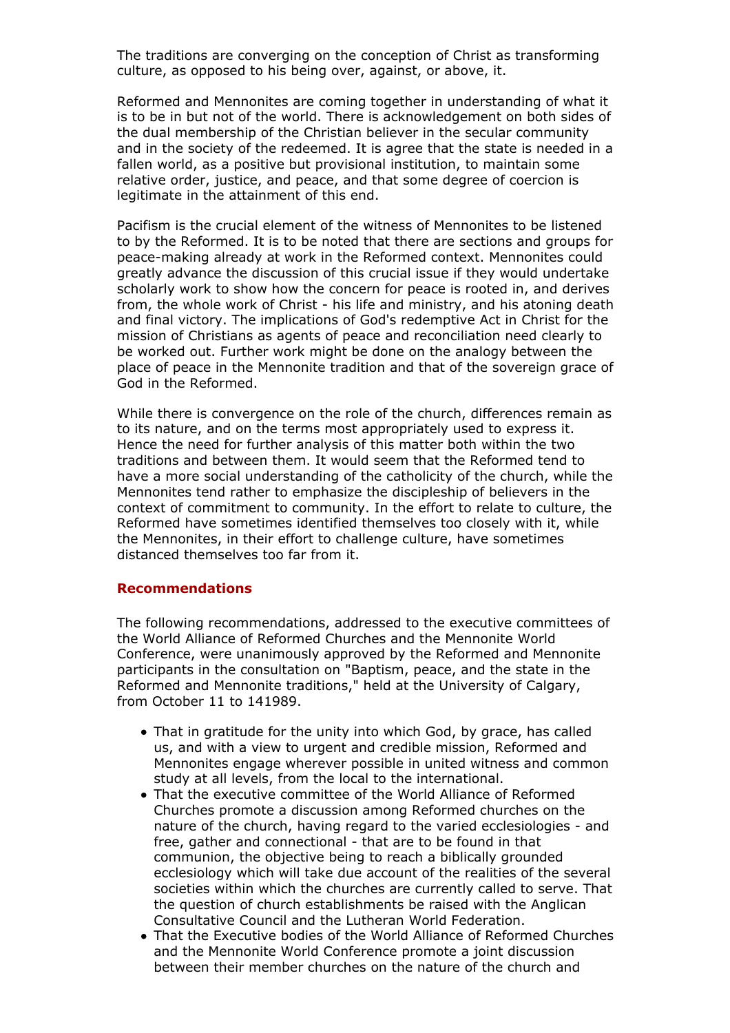The traditions are converging on the conception of Christ as transforming culture, as opposed to his being over, against, or above, it.

Reformed and Mennonites are coming together in understanding of what it is to be in but not of the world. There is acknowledgement on both sides of the dual membership of the Christian believer in the secular community and in the society of the redeemed. It is agree that the state is needed in a fallen world, as a positive but provisional institution, to maintain some relative order, justice, and peace, and that some degree of coercion is legitimate in the attainment of this end.

Pacifism is the crucial element of the witness of Mennonites to be listened to by the Reformed. It is to be noted that there are sections and groups for peace-making already at work in the Reformed context. Mennonites could greatly advance the discussion of this crucial issue if they would undertake scholarly work to show how the concern for peace is rooted in, and derives from, the whole work of Christ - his life and ministry, and his atoning death and final victory. The implications of God's redemptive Act in Christ for the mission of Christians as agents of peace and reconciliation need clearly to be worked out. Further work might be done on the analogy between the place of peace in the Mennonite tradition and that of the sovereign grace of God in the Reformed.

While there is convergence on the role of the church, differences remain as to its nature, and on the terms most appropriately used to express it. Hence the need for further analysis of this matter both within the two traditions and between them. It would seem that the Reformed tend to have a more social understanding of the catholicity of the church, while the Mennonites tend rather to emphasize the discipleship of believers in the context of commitment to community. In the effort to relate to culture, the Reformed have sometimes identified themselves too closely with it, while the Mennonites, in their effort to challenge culture, have sometimes distanced themselves too far from it.

## **Recommendations**

The following recommendations, addressed to the executive committees of the World Alliance of Reformed Churches and the Mennonite World Conference, were unanimously approved by the Reformed and Mennonite participants in the consultation on "Baptism, peace, and the state in the Reformed and Mennonite traditions," held at the University of Calgary, from October 11 to 141989.

- That in gratitude for the unity into which God, by grace, has called us, and with a view to urgent and credible mission, Reformed and Mennonites engage wherever possible in united witness and common study at all levels, from the local to the international.
- That the executive committee of the World Alliance of Reformed Churches promote a discussion among Reformed churches on the nature of the church, having regard to the varied ecclesiologies - and free, gather and connectional - that are to be found in that communion, the objective being to reach a biblically grounded ecclesiology which will take due account of the realities of the several societies within which the churches are currently called to serve. That the question of church establishments be raised with the Anglican Consultative Council and the Lutheran World Federation.
- That the Executive bodies of the World Alliance of Reformed Churches and the Mennonite World Conference promote a joint discussion between their member churches on the nature of the church and